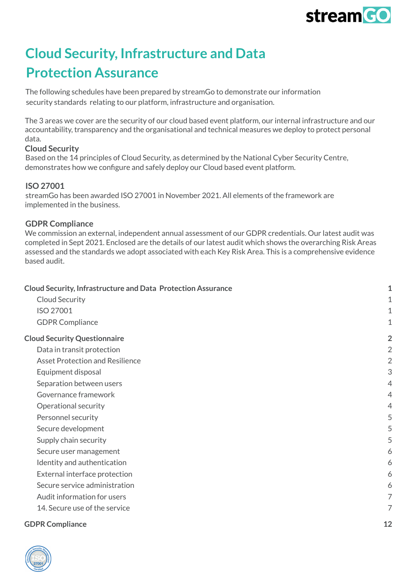

### <span id="page-0-0"></span>**Cloud Security, Infrastructure and Data Protection Assurance**

The following schedules have been prepared by streamGo to demonstrate our information security standards relating to our platform, infrastructure and organisation.

The 3 areas we cover are the security of our cloud based event platform, our internal infrastructure and our accountability, transparency and the organisational and technical measures we deploy to protect personal data.

#### <span id="page-0-1"></span>**Cloud Security**

Based on the 14 principles of Cloud Security, as determined by the National Cyber Security Centre, demonstrates how we configure and safely deploy our Cloud based event platform.

#### <span id="page-0-2"></span>**ISO 27001**

streamGo has been awarded ISO 27001 in November 2021. All elements of the framework are implemented in the business.

### <span id="page-0-3"></span>**GDPR Compliance**

We commission an external, independent annual assessment of our GDPR credentials. Our latest audit was completed in Sept 2021. Enclosed are the details of our latest audit which shows the overarching Risk Areas assessed and the standards we adopt associated with each Key Risk Area. This is a comprehensive evidence based audit.

| <b>Cloud Security, Infrastructure and Data Protection Assurance</b> | 1              |
|---------------------------------------------------------------------|----------------|
| Cloud Security                                                      | 1              |
| ISO 27001                                                           | 1              |
| <b>GDPR Compliance</b>                                              | 1              |
| <b>Cloud Security Questionnaire</b>                                 | $\overline{2}$ |
| Data in transit protection                                          | $\overline{2}$ |
| <b>Asset Protection and Resilience</b>                              | $\overline{2}$ |
| Equipment disposal                                                  | 3              |
| Separation between users                                            | $\overline{4}$ |
| Governance framework                                                | 4              |
| Operational security                                                | 4              |
| Personnel security                                                  | 5              |
| Secure development                                                  | 5              |
| Supply chain security                                               | 5              |
| Secure user management                                              | 6              |
| Identity and authentication                                         | 6              |
| External interface protection                                       | 6              |
| Secure service administration                                       | 6              |
| Audit information for users                                         | 7              |
| 14. Secure use of the service                                       | 7              |

#### **GDPR [Compliance](#page-11-0) [12](#page-11-0)**

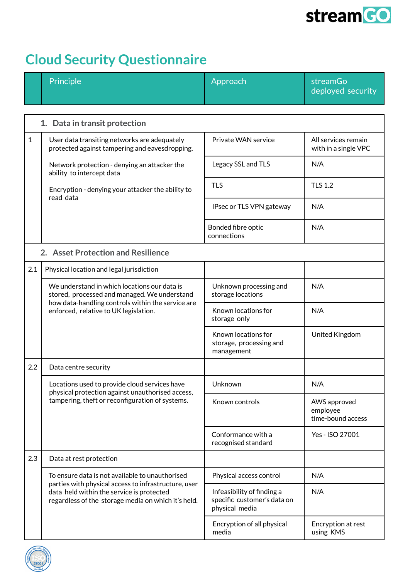

# <span id="page-1-0"></span>**Cloud Security Questionnaire**

<span id="page-1-2"></span><span id="page-1-1"></span>

|                                                   | Principle                                                                                                                                                                                                   | Approach                                                                    | streamGo<br>deployed security                 |
|---------------------------------------------------|-------------------------------------------------------------------------------------------------------------------------------------------------------------------------------------------------------------|-----------------------------------------------------------------------------|-----------------------------------------------|
|                                                   |                                                                                                                                                                                                             |                                                                             |                                               |
|                                                   | 1. Data in transit protection                                                                                                                                                                               |                                                                             |                                               |
| $\mathbf{1}$                                      | User data transiting networks are adequately<br>protected against tampering and eavesdropping.                                                                                                              | Private WAN service                                                         | All services remain<br>with in a single VPC   |
|                                                   | Network protection - denying an attacker the<br>ability to intercept data                                                                                                                                   | Legacy SSL and TLS                                                          | N/A                                           |
|                                                   | Encryption - denying your attacker the ability to<br>read data                                                                                                                                              | <b>TLS</b>                                                                  | <b>TLS 1.2</b>                                |
|                                                   |                                                                                                                                                                                                             | IPsec or TLS VPN gateway                                                    | N/A                                           |
|                                                   |                                                                                                                                                                                                             | Bonded fibre optic<br>connections                                           | N/A                                           |
| 2. Asset Protection and Resilience                |                                                                                                                                                                                                             |                                                                             |                                               |
| 2.1                                               | Physical location and legal jurisdiction                                                                                                                                                                    |                                                                             |                                               |
| how data-handling controls within the service are | We understand in which locations our data is<br>stored, processed and managed. We understand                                                                                                                | Unknown processing and<br>storage locations                                 | N/A                                           |
|                                                   | enforced, relative to UK legislation.                                                                                                                                                                       | Known locations for<br>storage only                                         | N/A                                           |
|                                                   |                                                                                                                                                                                                             | Known locations for<br>storage, processing and<br>management                | United Kingdom                                |
| 2.2                                               | Data centre security                                                                                                                                                                                        |                                                                             |                                               |
|                                                   | Locations used to provide cloud services have<br>physical protection against unauthorised access,                                                                                                           | Unknown                                                                     | N/A                                           |
|                                                   | tampering, theft or reconfiguration of systems.                                                                                                                                                             | Known controls                                                              | AWS approved<br>employee<br>time-bound access |
|                                                   |                                                                                                                                                                                                             | Conformance with a<br>recognised standard                                   | Yes - ISO 27001                               |
| 2.3                                               | Data at rest protection                                                                                                                                                                                     |                                                                             |                                               |
|                                                   | To ensure data is not available to unauthorised<br>parties with physical access to infrastructure, user<br>data held within the service is protected<br>regardless of the storage media on which it's held. | Physical access control                                                     | N/A                                           |
|                                                   |                                                                                                                                                                                                             | Infeasibility of finding a<br>specific customer's data on<br>physical media | N/A                                           |
|                                                   |                                                                                                                                                                                                             | Encryption of all physical<br>media                                         | Encryption at rest<br>using KMS               |

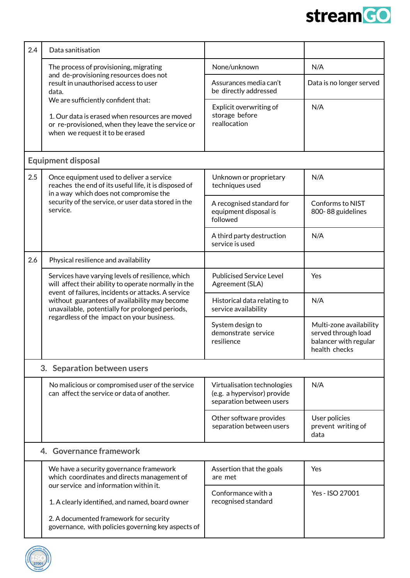

<span id="page-2-0"></span>

| 2.4                     | Data sanitisation                                                                                                                                                                                                                                                                                                   |                                                                                        |                                                                                          |
|-------------------------|---------------------------------------------------------------------------------------------------------------------------------------------------------------------------------------------------------------------------------------------------------------------------------------------------------------------|----------------------------------------------------------------------------------------|------------------------------------------------------------------------------------------|
|                         | The process of provisioning, migrating<br>and de-provisioning resources does not<br>result in unauthorised access to user<br>data.<br>We are sufficiently confident that:<br>1. Our data is erased when resources are moved<br>or re-provisioned, when they leave the service or<br>when we request it to be erased | None/unknown                                                                           | N/A                                                                                      |
|                         |                                                                                                                                                                                                                                                                                                                     | Assurances media can't<br>be directly addressed                                        | Data is no longer served                                                                 |
|                         |                                                                                                                                                                                                                                                                                                                     | Explicit overwriting of<br>storage before<br>reallocation                              | N/A                                                                                      |
|                         | <b>Equipment disposal</b>                                                                                                                                                                                                                                                                                           |                                                                                        |                                                                                          |
| 2.5                     | Once equipment used to deliver a service<br>reaches the end of its useful life, it is disposed of<br>in a way which does not compromise the                                                                                                                                                                         | Unknown or proprietary<br>techniques used                                              | N/A                                                                                      |
|                         | security of the service, or user data stored in the<br>service.                                                                                                                                                                                                                                                     | A recognised standard for<br>equipment disposal is<br>followed                         | Conforms to NIST<br>800-88 guidelines                                                    |
|                         |                                                                                                                                                                                                                                                                                                                     | A third party destruction<br>service is used                                           | N/A                                                                                      |
| 2.6                     | Physical resilience and availability                                                                                                                                                                                                                                                                                |                                                                                        |                                                                                          |
|                         | Services have varying levels of resilience, which<br>will affect their ability to operate normally in the<br>event of failures, incidents or attacks. A service<br>without guarantees of availability may become<br>unavailable, potentially for prolonged periods,<br>regardless of the impact on your business.   | <b>Publicised Service Level</b><br>Agreement (SLA)                                     | Yes                                                                                      |
|                         |                                                                                                                                                                                                                                                                                                                     | Historical data relating to<br>service availability                                    | N/A                                                                                      |
|                         |                                                                                                                                                                                                                                                                                                                     | System design to<br>demonstrate service<br>resilience                                  | Multi-zone availability<br>served through load<br>balancer with regular<br>health checks |
|                         | 3. Separation between users                                                                                                                                                                                                                                                                                         |                                                                                        |                                                                                          |
|                         | No malicious or compromised user of the service<br>can affect the service or data of another.                                                                                                                                                                                                                       | Virtualisation technologies<br>(e.g. a hypervisor) provide<br>separation between users | N/A                                                                                      |
|                         |                                                                                                                                                                                                                                                                                                                     | Other software provides<br>separation between users                                    | User policies<br>prevent writing of<br>data                                              |
| 4. Governance framework |                                                                                                                                                                                                                                                                                                                     |                                                                                        |                                                                                          |
|                         | We have a security governance framework<br>which coordinates and directs management of<br>our service and information within it.                                                                                                                                                                                    | Assertion that the goals<br>are met                                                    | Yes                                                                                      |
|                         |                                                                                                                                                                                                                                                                                                                     | Conformance with a<br>recognised standard                                              | Yes - ISO 27001                                                                          |
|                         | 1. A clearly identified, and named, board owner<br>2. A documented framework for security<br>governance, with policies governing key aspects of                                                                                                                                                                     |                                                                                        |                                                                                          |

<span id="page-2-2"></span><span id="page-2-1"></span>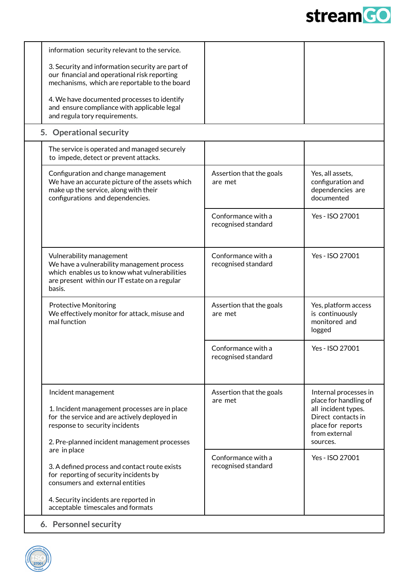

<span id="page-3-0"></span>

| information security relevant to the service.                                                                                                                                                          |                                           |                                                                                                                                               |  |
|--------------------------------------------------------------------------------------------------------------------------------------------------------------------------------------------------------|-------------------------------------------|-----------------------------------------------------------------------------------------------------------------------------------------------|--|
| 3. Security and information security are part of<br>our financial and operational risk reporting<br>mechanisms, which are reportable to the board                                                      |                                           |                                                                                                                                               |  |
| 4. We have documented processes to identify<br>and ensure compliance with applicable legal<br>and regula tory requirements.                                                                            |                                           |                                                                                                                                               |  |
| 5. Operational security                                                                                                                                                                                |                                           |                                                                                                                                               |  |
| The service is operated and managed securely<br>to impede, detect or prevent attacks.                                                                                                                  |                                           |                                                                                                                                               |  |
| Configuration and change management<br>We have an accurate picture of the assets which<br>make up the service, along with their<br>configurations and dependencies.                                    | Assertion that the goals<br>are met       | Yes, all assets,<br>configuration and<br>dependencies are<br>documented                                                                       |  |
|                                                                                                                                                                                                        | Conformance with a<br>recognised standard | Yes - ISO 27001                                                                                                                               |  |
| Vulnerability management<br>We have a vulnerability management process<br>which enables us to know what vulnerabilities<br>are present within our IT estate on a regular<br>basis.                     | Conformance with a<br>recognised standard | Yes - ISO 27001                                                                                                                               |  |
| <b>Protective Monitoring</b><br>We effectively monitor for attack, misuse and<br>mal function                                                                                                          | Assertion that the goals<br>are met       | Yes, platform access<br>is continuously<br>monitored and<br>logged                                                                            |  |
|                                                                                                                                                                                                        | Conformance with a<br>recognised standard | Yes - ISO 27001                                                                                                                               |  |
| Incident management<br>1. Incident management processes are in place<br>for the service and are actively deployed in<br>response to security incidents<br>2. Pre-planned incident management processes | Assertion that the goals<br>are met       | Internal processes in<br>place for handling of<br>all incident types.<br>Direct contacts in<br>place for reports<br>from external<br>sources. |  |
| are in place<br>3. A defined process and contact route exists<br>for reporting of security incidents by<br>consumers and external entities                                                             | Conformance with a<br>recognised standard | Yes - ISO 27001                                                                                                                               |  |
| 4. Security incidents are reported in<br>acceptable timescales and formats                                                                                                                             |                                           |                                                                                                                                               |  |
| 6. Personnel security                                                                                                                                                                                  |                                           |                                                                                                                                               |  |

<span id="page-3-1"></span>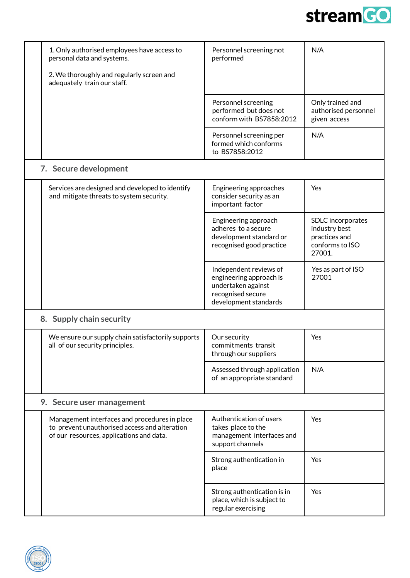

<span id="page-4-0"></span>

|                           | 1. Only authorised employees have access to<br>personal data and systems.                                                                  | Personnel screening not<br>performed                                                                                  | N/A                                                                              |
|---------------------------|--------------------------------------------------------------------------------------------------------------------------------------------|-----------------------------------------------------------------------------------------------------------------------|----------------------------------------------------------------------------------|
|                           | 2. We thoroughly and regularly screen and<br>adequately train our staff.                                                                   |                                                                                                                       |                                                                                  |
|                           |                                                                                                                                            | Personnel screening<br>performed but does not<br>conform with BS7858:2012                                             | Only trained and<br>authorised personnel<br>given access                         |
|                           |                                                                                                                                            | Personnel screening per<br>formed which conforms<br>to BS7858:2012                                                    | N/A                                                                              |
|                           | 7. Secure development                                                                                                                      |                                                                                                                       |                                                                                  |
|                           | Services are designed and developed to identify<br>and mitigate threats to system security.                                                | Engineering approaches<br>consider security as an<br>important factor                                                 | Yes                                                                              |
|                           |                                                                                                                                            | Engineering approach<br>adheres to a secure<br>development standard or<br>recognised good practice                    | SDLC incorporates<br>industry best<br>practices and<br>conforms to ISO<br>27001. |
|                           |                                                                                                                                            | Independent reviews of<br>engineering approach is<br>undertaken against<br>recognised secure<br>development standards | Yes as part of ISO<br>27001                                                      |
|                           | 8. Supply chain security                                                                                                                   |                                                                                                                       |                                                                                  |
|                           | We ensure our supply chain satisfactorily supports<br>all of our security principles.                                                      | Our security<br>commitments transit<br>through our suppliers                                                          | Yes                                                                              |
|                           |                                                                                                                                            | Assessed through application<br>of an appropriate standard                                                            | N/A                                                                              |
| 9. Secure user management |                                                                                                                                            |                                                                                                                       |                                                                                  |
|                           | Management interfaces and procedures in place<br>to prevent unauthorised access and alteration<br>of our resources, applications and data. | Authentication of users<br>takes place to the<br>management interfaces and<br>support channels                        | Yes                                                                              |
|                           |                                                                                                                                            | Strong authentication in<br>place                                                                                     | Yes                                                                              |
|                           |                                                                                                                                            | Strong authentication is in<br>place, which is subject to<br>regular exercising                                       | Yes                                                                              |

<span id="page-4-2"></span><span id="page-4-1"></span>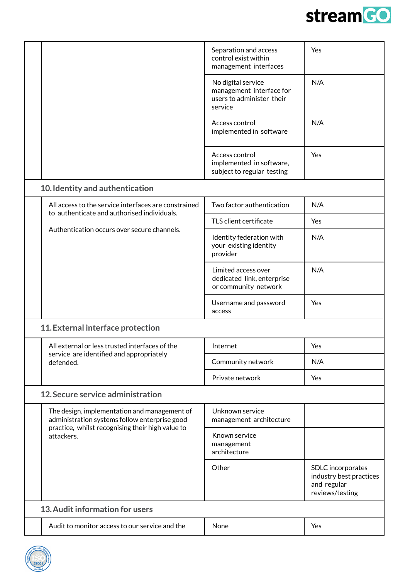

<span id="page-5-0"></span>

|                                 |                                                                                               | Separation and access<br>control exist within<br>management interfaces                 | Yes                                                                            |
|---------------------------------|-----------------------------------------------------------------------------------------------|----------------------------------------------------------------------------------------|--------------------------------------------------------------------------------|
|                                 |                                                                                               | No digital service<br>management interface for<br>users to administer their<br>service | N/A                                                                            |
|                                 |                                                                                               | Access control<br>implemented in software                                              | N/A                                                                            |
|                                 |                                                                                               | Access control<br>implemented in software,<br>subject to regular testing               | Yes                                                                            |
|                                 | 10. Identity and authentication                                                               |                                                                                        |                                                                                |
|                                 | All access to the service interfaces are constrained                                          | Two factor authentication                                                              | N/A                                                                            |
|                                 | to authenticate and authorised individuals.                                                   | TLS client certificate                                                                 | Yes                                                                            |
|                                 | Authentication occurs over secure channels.                                                   | Identity federation with<br>your existing identity<br>provider                         | N/A                                                                            |
|                                 |                                                                                               | Limited access over<br>dedicated link, enterprise<br>or community network              | N/A                                                                            |
|                                 |                                                                                               | Username and password<br>access                                                        | Yes                                                                            |
|                                 | 11. External interface protection                                                             |                                                                                        |                                                                                |
|                                 | All external or less trusted interfaces of the                                                | Internet                                                                               | Yes                                                                            |
|                                 | service are identified and appropriately<br>defended.                                         | Community network                                                                      | N/A                                                                            |
|                                 |                                                                                               | Private network                                                                        | Yes                                                                            |
|                                 | 12. Secure service administration                                                             |                                                                                        |                                                                                |
|                                 | The design, implementation and management of<br>administration systems follow enterprise good | Unknown service<br>management architecture                                             |                                                                                |
| attackers.                      | practice, whilst recognising their high value to                                              | Known service<br>management<br>architecture                                            |                                                                                |
|                                 |                                                                                               | Other                                                                                  | SDLC incorporates<br>industry best practices<br>and regular<br>reviews/testing |
| 13. Audit information for users |                                                                                               |                                                                                        |                                                                                |
|                                 | Audit to monitor access to our service and the                                                | None                                                                                   | Yes                                                                            |
|                                 |                                                                                               |                                                                                        |                                                                                |

<span id="page-5-3"></span><span id="page-5-2"></span><span id="page-5-1"></span>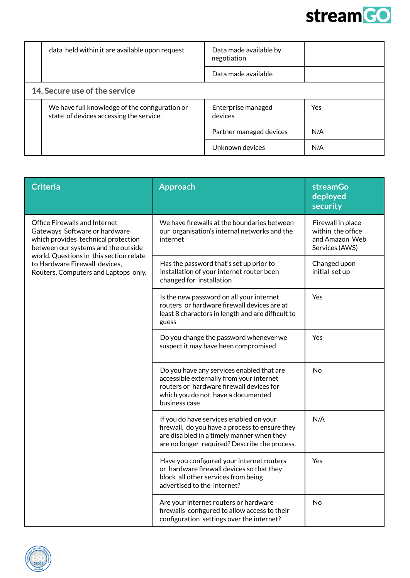

<span id="page-6-0"></span>

| data held within it are available upon request                                            | Data made available by<br>negotiation |     |
|-------------------------------------------------------------------------------------------|---------------------------------------|-----|
|                                                                                           | Data made available                   |     |
| 14. Secure use of the service                                                             |                                       |     |
| We have full knowledge of the configuration or<br>state of devices accessing the service. | Enterprise managed<br>devices         | Yes |
|                                                                                           | Partner managed devices               | N/A |
|                                                                                           | Unknown devices                       | N/A |

| <b>Criteria</b>                                                                                                                                     | <b>Approach</b>                                                                                                                                                                          | <b>streamGo</b><br>deployed<br>security                                    |
|-----------------------------------------------------------------------------------------------------------------------------------------------------|------------------------------------------------------------------------------------------------------------------------------------------------------------------------------------------|----------------------------------------------------------------------------|
| <b>Office Firewalls and Internet</b><br>Gateways Software or hardware<br>which provides technical protection<br>between our systems and the outside | We have firewalls at the boundaries between<br>our organisation's internal networks and the<br>internet                                                                                  | Firewall in place<br>within the office<br>and Amazon Web<br>Services (AWS) |
| world. Questions in this section relate<br>to Hardware Firewall devices,<br>Routers, Computers and Laptops only.                                    | Has the password that's set up prior to<br>installation of your internet router been<br>changed for installation                                                                         | Changed upon<br>initial set up                                             |
|                                                                                                                                                     | Is the new password on all your internet<br>routers or hardware firewall devices are at<br>least 8 characters in length and are difficult to<br>guess                                    | Yes                                                                        |
|                                                                                                                                                     | Do you change the password whenever we<br>suspect it may have been compromised                                                                                                           | Yes                                                                        |
|                                                                                                                                                     | Do you have any services enabled that are<br>accessible externally from your internet<br>routers or hardware firewall devices for<br>which you do not have a documented<br>business case | No                                                                         |
|                                                                                                                                                     | If you do have services enabled on your<br>firewall, do you have a process to ensure they<br>are disa bled in a timely manner when they<br>are no longer required? Describe the process. | N/A                                                                        |
|                                                                                                                                                     | Have you configured your internet routers<br>or hardware firewall devices so that they<br>block all other services from being<br>advertised to the internet?                             | Yes                                                                        |
|                                                                                                                                                     | Are your internet routers or hardware<br>firewalls configured to allow access to their<br>configuration settings over the internet?                                                      | <b>No</b>                                                                  |

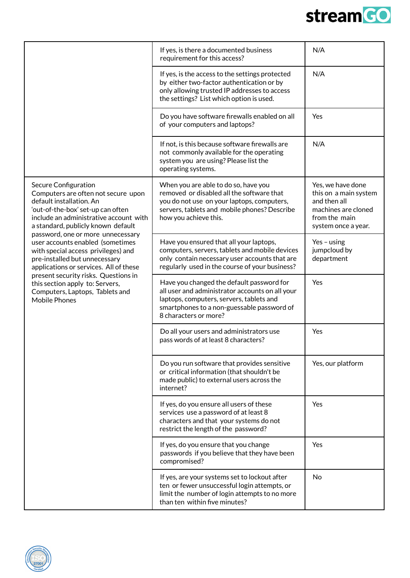

|                                                                                                                                                                                                                                                                                                                               | If yes, is there a documented business<br>requirement for this access?                                                                                                                                          | N/A                                                                                                                       |
|-------------------------------------------------------------------------------------------------------------------------------------------------------------------------------------------------------------------------------------------------------------------------------------------------------------------------------|-----------------------------------------------------------------------------------------------------------------------------------------------------------------------------------------------------------------|---------------------------------------------------------------------------------------------------------------------------|
|                                                                                                                                                                                                                                                                                                                               | If yes, is the access to the settings protected<br>by either two-factor authentication or by<br>only allowing trusted IP addresses to access<br>the settings? List which option is used.                        | N/A                                                                                                                       |
|                                                                                                                                                                                                                                                                                                                               | Do you have software firewalls enabled on all<br>of your computers and laptops?                                                                                                                                 | Yes                                                                                                                       |
|                                                                                                                                                                                                                                                                                                                               | If not, is this because software firewalls are<br>not commonly available for the operating<br>system you are using? Please list the<br>operating systems.                                                       | N/A                                                                                                                       |
| Secure Configuration<br>Computers are often not secure upon<br>default installation. An<br>'out-of-the-box' set-up can often<br>include an administrative account with<br>a standard, publicly known default                                                                                                                  | When you are able to do so, have you<br>removed or disabled all the software that<br>you do not use on your laptops, computers,<br>servers, tablets and mobile phones? Describe<br>how you achieve this.        | Yes, we have done<br>this on a main system<br>and then all<br>machines are cloned<br>from the main<br>system once a year. |
| password, one or more unnecessary<br>user accounts enabled (sometimes<br>with special access privileges) and<br>pre-installed but unnecessary<br>applications or services. All of these<br>present security risks. Questions in<br>this section apply to: Servers,<br>Computers, Laptops, Tablets and<br><b>Mobile Phones</b> | Have you ensured that all your laptops,<br>computers, servers, tablets and mobile devices<br>only contain necessary user accounts that are<br>regularly used in the course of your business?                    | Yes $-$ using<br>jumpcloud by<br>department                                                                               |
|                                                                                                                                                                                                                                                                                                                               | Have you changed the default password for<br>all user and administrator accounts on all your<br>laptops, computers, servers, tablets and<br>smartphones to a non-guessable password of<br>8 characters or more? | Yes                                                                                                                       |
|                                                                                                                                                                                                                                                                                                                               | Do all your users and administrators use<br>pass words of at least 8 characters?                                                                                                                                | Yes                                                                                                                       |
|                                                                                                                                                                                                                                                                                                                               | Do you run software that provides sensitive<br>or critical information (that shouldn't be<br>made public) to external users across the<br>internet?                                                             | Yes, our platform                                                                                                         |
|                                                                                                                                                                                                                                                                                                                               | If yes, do you ensure all users of these<br>services use a password of at least 8<br>characters and that your systems do not<br>restrict the length of the password?                                            | Yes                                                                                                                       |
|                                                                                                                                                                                                                                                                                                                               | If yes, do you ensure that you change<br>passwords if you believe that they have been<br>compromised?                                                                                                           | Yes                                                                                                                       |
|                                                                                                                                                                                                                                                                                                                               | If yes, are your systems set to lockout after<br>ten or fewer unsuccessful login attempts, or<br>limit the number of login attempts to no more<br>than ten within five minutes?                                 | No                                                                                                                        |

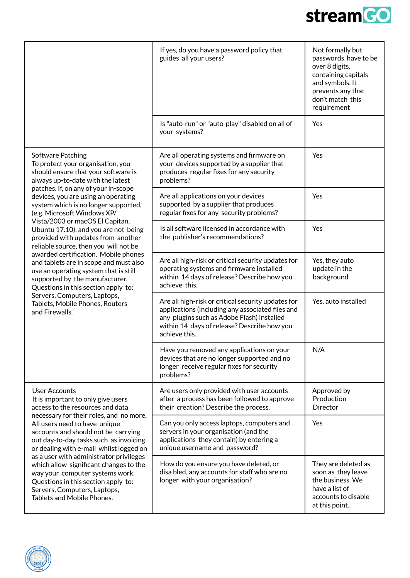

|                                                                                                                                                                                                                                                                                                                                                                                                                                                                                                                                     | If yes, do you have a password policy that<br>guides all your users?                                                                                                                                                 | Not formally but<br>passwords have to be<br>over 8 digits,<br>containing capitals<br>and symbols. It<br>prevents any that<br>don't match this<br>requirement |
|-------------------------------------------------------------------------------------------------------------------------------------------------------------------------------------------------------------------------------------------------------------------------------------------------------------------------------------------------------------------------------------------------------------------------------------------------------------------------------------------------------------------------------------|----------------------------------------------------------------------------------------------------------------------------------------------------------------------------------------------------------------------|--------------------------------------------------------------------------------------------------------------------------------------------------------------|
|                                                                                                                                                                                                                                                                                                                                                                                                                                                                                                                                     | Is "auto-run" or "auto-play" disabled on all of<br>your systems?                                                                                                                                                     | Yes                                                                                                                                                          |
| Software Patching<br>To protect your organisation, you<br>should ensure that your software is<br>always up-to-date with the latest                                                                                                                                                                                                                                                                                                                                                                                                  | Are all operating systems and firmware on<br>your devices supported by a supplier that<br>produces regular fixes for any security<br>problems?                                                                       | Yes                                                                                                                                                          |
| patches. If, on any of your in-scope<br>devices, you are using an operating<br>system which is no longer supported,<br>(e.g. Microsoft Windows XP/                                                                                                                                                                                                                                                                                                                                                                                  | Are all applications on your devices<br>supported by a supplier that produces<br>regular fixes for any security problems?                                                                                            | Yes                                                                                                                                                          |
| Vista/2003 or macOS El Capitan,<br>Ubuntu 17.10), and you are not being<br>provided with updates from another<br>reliable source, then you will not be                                                                                                                                                                                                                                                                                                                                                                              | Is all software licensed in accordance with<br>the publisher's recommendations?                                                                                                                                      | Yes                                                                                                                                                          |
| awarded certification. Mobile phones<br>and tablets are in scope and must also<br>use an operating system that is still<br>supported by the manufacturer.<br>Questions in this section apply to:<br>Servers, Computers, Laptops,<br>Tablets, Mobile Phones, Routers<br>and Firewalls.                                                                                                                                                                                                                                               | Are all high-risk or critical security updates for<br>operating systems and firmware installed<br>within 14 days of release? Describe how you<br>achieve this.                                                       | Yes, they auto<br>update in the<br>background                                                                                                                |
|                                                                                                                                                                                                                                                                                                                                                                                                                                                                                                                                     | Are all high-risk or critical security updates for<br>applications (including any associated files and<br>any plugins such as Adobe Flash) installed<br>within 14 days of release? Describe how you<br>achieve this. | Yes, auto installed                                                                                                                                          |
|                                                                                                                                                                                                                                                                                                                                                                                                                                                                                                                                     | Have you removed any applications on your<br>devices that are no longer supported and no<br>longer receive regular fixes for security<br>problems?                                                                   | N/A                                                                                                                                                          |
| <b>User Accounts</b><br>It is important to only give users<br>access to the resources and data<br>necessary for their roles, and no more.<br>All users need to have unique<br>accounts and should not be carrying<br>out day-to-day tasks such as invoicing<br>or dealing with e-mail whilst logged on<br>as a user with administrator privileges<br>which allow significant changes to the<br>way your computer systems work.<br>Questions in this section apply to:<br>Servers, Computers, Laptops,<br>Tablets and Mobile Phones. | Are users only provided with user accounts<br>after a process has been followed to approve<br>their creation? Describe the process.                                                                                  | Approved by<br>Production<br>Director                                                                                                                        |
|                                                                                                                                                                                                                                                                                                                                                                                                                                                                                                                                     | Can you only access laptops, computers and<br>servers in your organisation (and the<br>applications they contain) by entering a<br>unique username and password?                                                     | Yes                                                                                                                                                          |
|                                                                                                                                                                                                                                                                                                                                                                                                                                                                                                                                     | How do you ensure you have deleted, or<br>disa bled, any accounts for staff who are no<br>longer with your organisation?                                                                                             | They are deleted as<br>soon as they leave<br>the business. We<br>have a list of<br>accounts to disable<br>at this point.                                     |

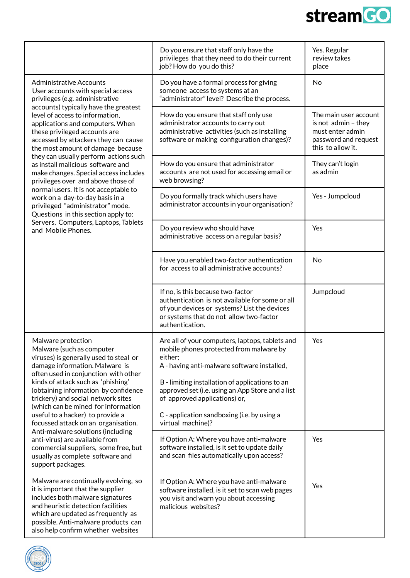

т

|                                                                                                                                                                                                                                                                                                                                                                                                                                                | Do you ensure that staff only have the<br>privileges that they need to do their current<br>job? How do you do this?                                                                                                                                                                                                                                              | Yes. Regular<br>review takes<br>place                                                                         |
|------------------------------------------------------------------------------------------------------------------------------------------------------------------------------------------------------------------------------------------------------------------------------------------------------------------------------------------------------------------------------------------------------------------------------------------------|------------------------------------------------------------------------------------------------------------------------------------------------------------------------------------------------------------------------------------------------------------------------------------------------------------------------------------------------------------------|---------------------------------------------------------------------------------------------------------------|
| <b>Administrative Accounts</b><br>User accounts with special access<br>privileges (e.g. administrative<br>accounts) typically have the greatest<br>level of access to information,<br>applications and computers. When<br>these privileged accounts are<br>accessed by attackers they can cause<br>the most amount of damage because                                                                                                           | Do you have a formal process for giving<br>someone access to systems at an<br>"administrator" level? Describe the process.                                                                                                                                                                                                                                       | No                                                                                                            |
|                                                                                                                                                                                                                                                                                                                                                                                                                                                | How do you ensure that staff only use<br>administrator accounts to carry out<br>administrative activities (such as installing<br>software or making configuration changes)?                                                                                                                                                                                      | The main user account<br>is not admin - they<br>must enter admin<br>password and request<br>this to allow it. |
| they can usually perform actions such<br>as install malicious software and<br>make changes. Special access includes<br>privileges over and above those of                                                                                                                                                                                                                                                                                      | How do you ensure that administrator<br>accounts are not used for accessing email or<br>web browsing?                                                                                                                                                                                                                                                            | They can't login<br>as admin                                                                                  |
| normal users. It is not acceptable to<br>work on a day-to-day basis in a<br>privileged "administrator" mode.<br>Questions in this section apply to:                                                                                                                                                                                                                                                                                            | Do you formally track which users have<br>administrator accounts in your organisation?                                                                                                                                                                                                                                                                           | Yes - Jumpcloud                                                                                               |
| Servers, Computers, Laptops, Tablets<br>and Mobile Phones.                                                                                                                                                                                                                                                                                                                                                                                     | Do you review who should have<br>administrative access on a regular basis?                                                                                                                                                                                                                                                                                       | Yes                                                                                                           |
|                                                                                                                                                                                                                                                                                                                                                                                                                                                | Have you enabled two-factor authentication<br>for access to all administrative accounts?                                                                                                                                                                                                                                                                         | No                                                                                                            |
|                                                                                                                                                                                                                                                                                                                                                                                                                                                | If no, is this because two-factor<br>authentication is not available for some or all<br>of your devices or systems? List the devices<br>or systems that do not allow two-factor<br>authentication.                                                                                                                                                               | Jumpcloud                                                                                                     |
| Malware protection<br>Malware (such as computer<br>viruses) is generally used to steal or<br>damage information. Malware is<br>often used in conjunction with other<br>kinds of attack such as 'phishing'<br>(obtaining information by confidence<br>trickery) and social network sites<br>(which can be mined for information<br>useful to a hacker) to provide a<br>focussed attack on an organisation.<br>Anti-malware solutions (including | Are all of your computers, laptops, tablets and<br>mobile phones protected from malware by<br>either;<br>A - having anti-malware software installed,<br>B - limiting installation of applications to an<br>approved set (i.e. using an App Store and a list<br>of approved applications) or,<br>C - application sandboxing (i.e. by using a<br>virtual machine)? | Yes                                                                                                           |
| anti-virus) are available from<br>commercial suppliers, some free, but<br>usually as complete software and<br>support packages.                                                                                                                                                                                                                                                                                                                | If Option A: Where you have anti-malware<br>software installed, is it set to update daily<br>and scan files automatically upon access?                                                                                                                                                                                                                           | Yes                                                                                                           |
| Malware are continually evolving, so<br>it is important that the supplier<br>includes both malware signatures<br>and heuristic detection facilities<br>which are updated as frequently as<br>possible. Anti-malware products can<br>also help confirm whether websites                                                                                                                                                                         | If Option A: Where you have anti-malware<br>software installed, is it set to scan web pages<br>you visit and warn you about accessing<br>malicious websites?                                                                                                                                                                                                     | Yes                                                                                                           |

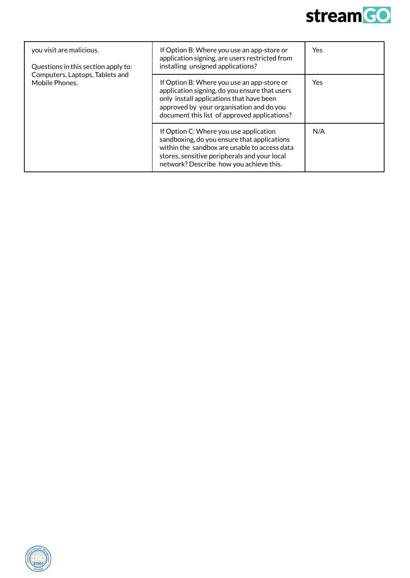

| you visit are malicious.<br>Questions in this section apply to: | If Option B: Where you use an app-store or<br>application signing, are users restricted from<br>installing unsigned applications?                                                                                                   | <b>Yes</b> |
|-----------------------------------------------------------------|-------------------------------------------------------------------------------------------------------------------------------------------------------------------------------------------------------------------------------------|------------|
| Computers, Laptops, Tablets and<br>Mobile Phones.               | If Option B: Where you use an app-store or<br>application signing, do you ensure that users<br>only install applications that have been<br>approved by your organisation and do you<br>document this list of approved applications? | Yes        |
|                                                                 | If Option C: Where you use application<br>sandboxing, do you ensure that applications<br>within the sandbox are unable to access data<br>stores, sensitive peripherals and your local<br>network? Describe how you achieve this.    | N/A        |

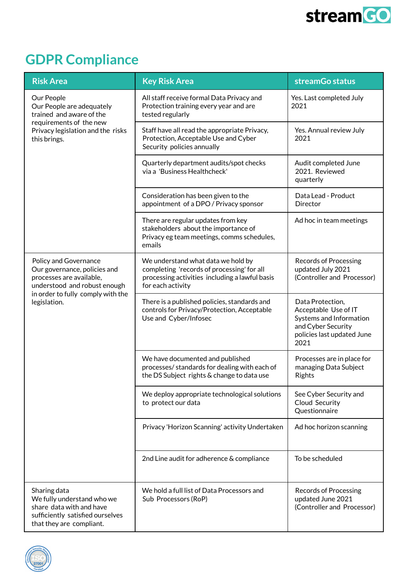

## <span id="page-11-0"></span>**GDPR Compliance**

| <b>Risk Area</b>                                                                                                                                                       | <b>Key Risk Area</b>                                                                                                                                    | streamGo status                                                                                                                 |
|------------------------------------------------------------------------------------------------------------------------------------------------------------------------|---------------------------------------------------------------------------------------------------------------------------------------------------------|---------------------------------------------------------------------------------------------------------------------------------|
| Our People<br>Our People are adequately<br>trained and aware of the<br>requirements of the new<br>Privacy legislation and the risks<br>this brings.                    | All staff receive formal Data Privacy and<br>Protection training every year and are<br>tested regularly                                                 | Yes. Last completed July<br>2021                                                                                                |
|                                                                                                                                                                        | Staff have all read the appropriate Privacy,<br>Protection, Acceptable Use and Cyber<br>Security policies annually                                      | Yes. Annual review July<br>2021                                                                                                 |
|                                                                                                                                                                        | Quarterly department audits/spot checks<br>via a 'Business Healthcheck'                                                                                 | Audit completed June<br>2021. Reviewed<br>quarterly                                                                             |
|                                                                                                                                                                        | Consideration has been given to the<br>appointment of a DPO / Privacy sponsor                                                                           | Data Lead - Product<br>Director                                                                                                 |
|                                                                                                                                                                        | There are regular updates from key<br>stakeholders about the importance of<br>Privacy eg team meetings, comms schedules,<br>emails                      | Ad hoc in team meetings                                                                                                         |
| Policy and Governance<br>Our governance, policies and<br>processes are available,<br>understood and robust enough<br>in order to fully comply with the<br>legislation. | We understand what data we hold by<br>completing 'records of processing' for all<br>processing activities including a lawful basis<br>for each activity | <b>Records of Processing</b><br>updated July 2021<br>(Controller and Processor)                                                 |
|                                                                                                                                                                        | There is a published policies, standards and<br>controls for Privacy/Protection, Acceptable<br>Use and Cyber/Infosec                                    | Data Protection,<br>Acceptable Use of IT<br>Systems and Information<br>and Cyber Security<br>policies last updated June<br>2021 |
|                                                                                                                                                                        | We have documented and published<br>processes/ standards for dealing with each of<br>the DS Subject rights & change to data use                         | Processes are in place for<br>managing Data Subject<br>Rights                                                                   |
|                                                                                                                                                                        | We deploy appropriate technological solutions<br>to protect our data                                                                                    | See Cyber Security and<br>Cloud Security<br>Questionnaire                                                                       |
|                                                                                                                                                                        | Privacy 'Horizon Scanning' activity Undertaken                                                                                                          | Ad hoc horizon scanning                                                                                                         |
|                                                                                                                                                                        | 2nd Line audit for adherence & compliance                                                                                                               | To be scheduled                                                                                                                 |
| Sharing data<br>We fully understand who we<br>share data with and have<br>sufficiently satisfied ourselves<br>that they are compliant.                                 | We hold a full list of Data Processors and<br>Sub Processors (RoP)                                                                                      | <b>Records of Processing</b><br>updated June 2021<br>(Controller and Processor)                                                 |

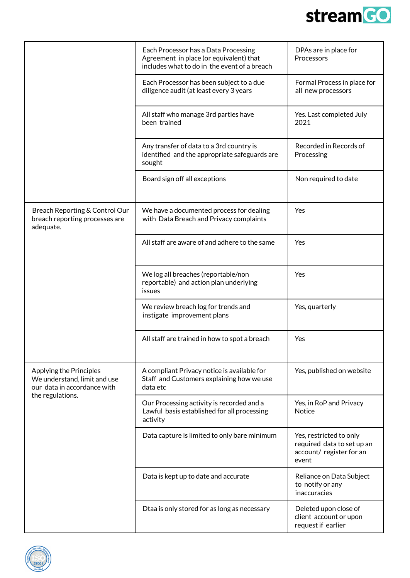

|                                                                                                            | Each Processor has a Data Processing<br>Agreement in place (or equivalent) that<br>includes what to do in the event of a breach | DPAs are in place for<br>Processors                                                        |
|------------------------------------------------------------------------------------------------------------|---------------------------------------------------------------------------------------------------------------------------------|--------------------------------------------------------------------------------------------|
|                                                                                                            | Each Processor has been subject to a due<br>diligence audit (at least every 3 years                                             | Formal Process in place for<br>all new processors                                          |
|                                                                                                            | All staff who manage 3rd parties have<br>been trained                                                                           | Yes. Last completed July<br>2021                                                           |
|                                                                                                            | Any transfer of data to a 3rd country is<br>identified and the appropriate safeguards are<br>sought                             | Recorded in Records of<br>Processing                                                       |
|                                                                                                            | Board sign off all exceptions                                                                                                   | Non required to date                                                                       |
| Breach Reporting & Control Our<br>breach reporting processes are<br>adequate.                              | We have a documented process for dealing<br>with Data Breach and Privacy complaints                                             | Yes                                                                                        |
|                                                                                                            | All staff are aware of and adhere to the same                                                                                   | Yes                                                                                        |
|                                                                                                            | We log all breaches (reportable/non<br>reportable) and action plan underlying<br>issues                                         | Yes                                                                                        |
|                                                                                                            | We review breach log for trends and<br>instigate improvement plans                                                              | Yes, quarterly                                                                             |
|                                                                                                            | All staff are trained in how to spot a breach                                                                                   | Yes                                                                                        |
| Applying the Principles<br>We understand, limit and use<br>our data in accordance with<br>the regulations. | A compliant Privacy notice is available for<br>Staff and Customers explaining how we use<br>data etc                            | Yes, published on website                                                                  |
|                                                                                                            | Our Processing activity is recorded and a<br>Lawful basis established for all processing<br>activity                            | Yes, in RoP and Privacy<br><b>Notice</b>                                                   |
|                                                                                                            | Data capture is limited to only bare minimum                                                                                    | Yes, restricted to only<br>required data to set up an<br>account/ register for an<br>event |
|                                                                                                            | Data is kept up to date and accurate                                                                                            | Reliance on Data Subject<br>to notify or any<br>inaccuracies                               |
|                                                                                                            | Dtaa is only stored for as long as necessary                                                                                    | Deleted upon close of<br>client account or upon<br>request if earlier                      |